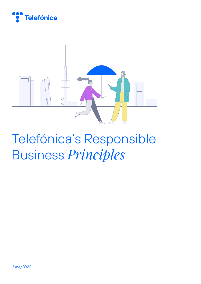



# Telefónica's Responsible Business *Principles*

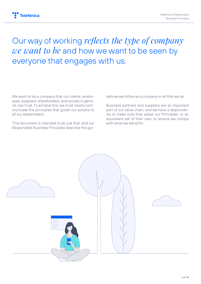# Our way of working *reflects the type of company we want to be* and how we want to be seen by everyone that engages with us.

We want to be a company that our clients, employees, suppliers, shareholders, and society in general, can trust. To achieve this, we must clearly communicate the principles that guide our actions to all our stakeholders.

This document is intended to do just that, and our Responsible Business Principles describe the guidelines we follow as a company in all that we do.

Business partners and suppliers are an important part of our value chain, and we have a responsibility to make sure they adopt our Principles, or an equivalent set of their own, to ensure we comply with what we stand for.

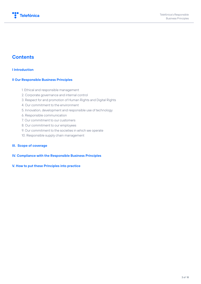

### **Contents**

#### **I Introduction**

#### **II Our Responsible Business Principles**

- 1. Ethical and responsible management
- 2. Corporate governance and internal control
- 3. Respect for and promotion of Human Rights and Digital Rights
- 4. Our commitment to the environment
- 5. Innovation, development and responsible use of technology
- 6. Responsible communication
- 7. Our commitment to our customers
- 8. Our commitment to our employees
- 9. Our commitment to the societies in which we operate
- 10. Responsible supply chain management

#### **III. Scope of coverage**

#### **IV. Compliance with the Responsible Business Principles**

#### **V. How to put these Principles into practice**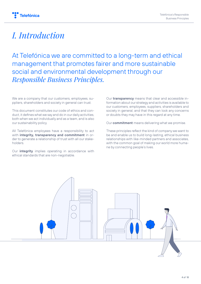

# *I. Introduction*

At Telefónica we are committed to a long-term and ethical management that promotes fairer and more sustainable social and environmental development through our *Responsible Business Principles.*

We are a company that our customers, employees, suppliers, shareholders and society in general can trust.

This document constitutes our code of ethics and conduct, it defines what we say and do in our daily activities, both when we act individually and as a team, and is also our sustainability policy.

All Telefónica employees have a responsibility to act with **integrity, transparency and commitment** in order to generate a relationship of trust with all our stakeholders.

Our **integrity** implies operating in accordance with ethical standards that are non-negotiable.

Our **transparency** means that clear and accessible information about our strategy and activities is available to our customers, employees, suppliers, shareholders and society in general, and that they can look any concerns or doubts they may have in this regard at any time.

Our **commitment** means delivering what we promise.

These principles reflect the kind of company we want to be and enable us to build long-lasting, ethical business relationships with like-minded partners and associates, with the common goal of making our world more humane by connecting people's lives.

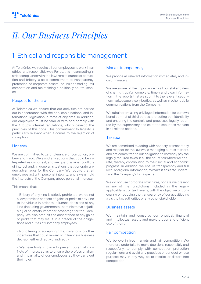# *II. Our Business Principles*

### 1. Ethical and responsible management

At Telefónica we require all our employees to work in an ethical and responsible way. For us, this means acting in strict compliance with the law; zero tolerance of corruption and bribery; a solid commitment to transparency, protection of corporate assets, no insider trading, fair competition and maintaining a politically neutral stance.

### Respect for the law

At Telefónica we ensure that our activities are carried out in accordance with the applicable national and international legislation in force at any time. In addition, our employees must be familiar with and comply with the Group's internal regulations, which develop the principles of this code. This commitment to legality is particularly relevant when it comes to the rejection of corruption.

### **Honesty**

We are committed to zero tolerance of corruption, bribery and fraud. We avoid any actions that could be interpreted as dishonest, and we guard against conflicts of interest and, in general, situations that generate undue advantages for the Company. We require that all employees act with personal integrity, and always hold the interests of the Company above personal interests.

This means that:

- Bribery of any kind is strictly prohibited: we do not allow promises or offers of gains or perks of any kind to individuals in order to influence decisions of any kind (including governmental, administrative or judicial) or to obtain improper advantage for the Company. We also prohibit the acceptance of any gains or perks that may result in a breach of the obligations and duties of Company employees.

- Not offering or accepting gifts, invitations, or other incentives that could reward or influence a business decision either directly or indirectly.

- We have tools in place to prevent potential conflicts of interest so as to ensure the professionalism and impartiality of our employees as they carry out their roles.

### Market transparency

We provide all relevant information immediately and indiscriminately.

We are aware of the importance to all our stakeholders of sharing truthful, complete, timely and clear information in the reports that we submit to the relevant securities market supervisory bodies, as well as in other public communications from the Company.

We refrain from using privileged information for our own benefit or that of third parties, protecting confidentiality and ensuring the controls and processes legally required by the supervisory bodies of the securities markets in all related actions.

### Taxation

We are committed to acting with honesty, transparency and respect for the law while managing our tax matters, and are committed to our obligation to correctly pay the legally required taxes in all the countries where we operate, thereby contributing to their social and economic progress. In addition, we ensure transparency and full local and global information, to make it easier to understand the Company's tax aspects.

We do not use corporate structures, nor are we present in any of the jurisdictions included in the legally applicable list of tax havens, with the objective or concealing or reducing the transparency of our activities vis a vis the tax authorities or any other stakeholder.

#### Business assets

We maintain and conserve our physical, financial and intellectual assets and make proper and efficient use of them.

### Fair competition

We believe in free markets and fair competition. We therefore undertake to make decisions responsibly and respectfully, to comply with competition protection regula-tions and avoid any practices or conduct whose purpose may in any way be to restrict or distort free competition.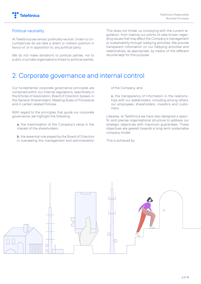### Political neutrality

At Telefónica we remain politically neutral. Under no circumstances do we take a direct or indirect position in favour of, or in opposition to, any political party.

We do not make donations to political parties, nor to public or private organisations linked to political parties.

This does not hinder us complying with the current legislation, from making our points of view known regarding issues that may affect the Company's management or sustainability through lobbying activities. We provide transparent information on our lobbying activities and relationships, as appropriate, by means of the different records kept for this purpose.

### 2. Corporate governance and internal control

Our fundamental corporate governance principles are contained within our internal regulations, specifically in the Articles of Association, Board of Directors' bylaws, in the General Shareholders' Meeting Rules of Procedure and in certain related Policies.

With regard to the principles that guide our corporate governance, we highlight the following:

**a.** the maximisation of the Company's value in the interest of the shareholders;

**b.** the essential role played by the Board of Directors in overseeing the management and administration

of the Company; and,

**c.** the transparency of information in the relationships with our stakeholders, including among others, our employees, shareholders, investors and customers.

Likewise, at Telefónica we have also designed a specific and precise organisational structure to address our strategic objectives with maximum guarantees. These objectives are geared towards a long-term sustainable company model.

This is achieved by:

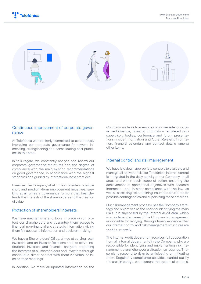

### Continuous improvement of corporate governance

At Telefónica we are firmly committed to continuously improving our corporate governance framework, increasing, strengthening and consolidating best practices in this area.

In this regard, we constantly analyse and review our corporate governance structures and the degree of compliance with the main existing recommendations on good governance, in accordance with the highest standards and guided by international best practices.

Likewise, the Company at all times considers possible short and medium-term improvement initiatives, seeking at all times a governance formula that best defends the interests of the shareholders and the creation of value.

#### Protection of shareholders' interests

We have mechanisms and tools in place which protect our shareholders and guarantee them access to financial, non-financial and strategic information, giving them fair access to information and decision-making.

We have a Shareholders' Office, aimed at serving retail investors, and an Investor Relations area, to serve institutional investors and financial analysts, protecting the interests of all shareholders and investors through continuous, direct contact with them via virtual or face-to-face meetings.

In addition, we make all updated information on the

Company available to everyone via our website: our share performance, financial information registered with supervisory bodies, conference and forum presentations, Insider Information and Other Relevant Information, financial calendars and contact details, among other items.

#### Internal control and risk management

We have laid down appropriate controls to evaluate and manage all relevant risks for Telefónica. Internal control is integrated in the daily activity of our Company, in all areas and within each scope of action, ensuring the achievement of operational objectives with accurate information and in strict compliance with the law, as well as assessing risks, defining insurance structures for possible contingencies and supervising these activities.

Our risk management process uses the Company's strategy and objectives as the basis for identifying the main risks. It is supervised by the Internal Audit area, which is an independent area of the Company's management responsible for ratifying, through timely evidence, that our internal control and risk management structures are working properly.

The Internal Audit department receives full cooperation from all internal departments in the Company, who are responsible for identifying and implementing risk management plans whenever a situation so requires. These plans respond to risks by anticipating or mitigating them. Regulatory compliance activities, carried out by the area in charge, complement this system of controls.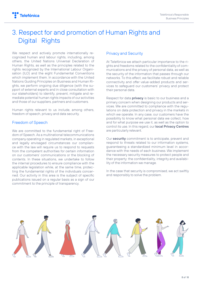### 3. Respect for and promotion of Human Rights and Digital Rights

We respect and actively promote internationally recognized human and labour rights, including, among others, the United Nations Universal Declaration of Human Rights, as well as the principles related to the rights recognized by the International Labour Organisation (ILO) and the eight Fundamental Conventions which implement them. In accordance with the United Nations Guiding Principles on Business and Human Rights, we perform ongoing due diligence (with the support of external experts and in close consultation with our stakeholders) to identify, prevent, mitigate and remediate potential human rights impacts of our activities and those of our suppliers, partners and customers.

Human rights relevant to us include, among others, freedom of speech, privacy and data security.

### Freedom of Speech

We are committed to the fundamental right of Freedom of Speech. As a multinational telecommunications company operating in regulated markets, in exceptional and legally envisaged circumstances our compliance with the law will require us to respond to requests from the competent authorities for certain information on our customers' communications or the blocking of contents. In these situations, we undertake to follow the internal procedures to ensure compliance with the applicable legislation while, at the same time, protecting the fundamental rights of the individuals concerned. Our activity in this area is the subject of specific publications issued on a regular basis as a sign of our commitment to the principle of transparency.

### Privacy and Security

At Telefónica we attach particular importance to the rights and freedoms related to the confidentiality of communications and the privacy of personal data, as well as the security of the information that passes through our networks. To this effect, we facilitate robust and reliable connectivity and offer value-added products and services to safeguard our customers' privacy and protect their personal data.

Respect for data **privacy** is basic to our business and a primary concern when designing our products and services. We are committed to compliance with the regulations on data protection and privacy in the markets in which we operate. In any case, our customers have the possibility to know what personal data we collect, how and for what purpose we use it, as well as the option to control its use. In this regard, our **local Privacy Centres**  are particularly relevant.

Our **security** commitment is to anticipate, prevent and respond to threats related to our information systems, guaranteeing a standardized minimum level in accordance with the needs of each business. We implement the necessary security measures to protect people and their property: the confidentiality, integrity and availability of the information we manage.

In the case that security is compromised, we act swiftly and responsibly to solve the problem.

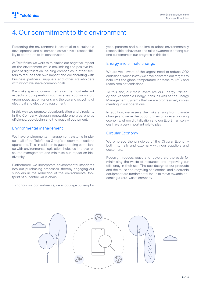### 4. Our commitment to the environment

Protecting the environment is essential to sustainable development, and as companies we have a responsibility to contribute to its conservation.

At Telefónica we work to minimise our negative impact on the environment while maximising the positive impact of digitalisation, helping companies in other sectors to reduce their own impact and collaborating with business partners, suppliers and other stakeholders with whom we share common goals.

We make specific commitments on the most relevant aspects of our operation, such as energy consumption, greenhouse gas emissions and the use and recycling of electrical and electronic equipment.

In this way we promote decarbonisation and circularity in the Company, through renewable energies, energy efficiency, eco-design and the reuse of equipment.

### Environmental management

We have environmental management systems in place in all of the Telefónica Group's telecommunications operations. This, in addition to guaranteeing compliance with environmental legislation, helps us improve resource management and minimise our impact on biodiversity.

Furthermore, we incorporate environmental standards into our purchasing processes, thereby engaging our suppliers in the reduction of the environmental footprint of our entire value chain.

To honour our commitments, we encourage our emplo-

yees, partners and suppliers to adopt environmentally responsible behaviours and raise awareness among our end customers of our progress in this field.

### Energy and climate change

We are well aware of the urgent need to reduce CO2 emissions, which is why we have bolstered our targets to help limit the global temperature increase to 1.5ºC and reach zero net emissions.

To this end, our main levers are our Energy Efficiency and Renewable Energy Plans, as well as the Energy Management Systems that we are progressively implementing in our operations.

In addition, we assess the risks arising from climate change and seize the opportunities of a decarbonising economy, where digitalisation and our Eco Smart services have a very important role to play.

### Circular Economy

We embrace the principles of the Circular Economy both internally and externally with our suppliers and customers.

Redesign, reduce, reuse and recycle are the basis for minimising the waste of resources and improving our efficiency in their use. The eco-design of our products and the reuse and recycling of electrical and electronic equipment are fundamental for us to move towards becoming a zero-waste company.

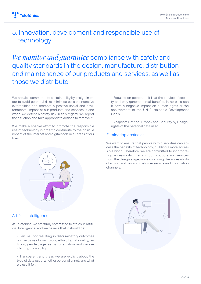### 5. Innovation, development and responsible use of technology

*We monitor and guarantee* compliance with safety and quality standards in the design, manufacture, distribution and maintenance of our products and services, as well as those we distribute.

We are also committed to sustainability by design in order to avoid potential risks, minimise possible negative externalities and promote a positive social and environmental impact of our products and services. If and when we detect a safety risk in this regard, we report the situation and take appropriate actions to remove it.

We make a special effort to promote the responsible use of technology in order to contribute to the positive impact of the Internet and digital tools in all areas of our lives.



### Artificial Intelligence

At Telefónica, we are firmly committed to ethics in Artificial Intelligence, and we believe that it should be:

- Fair, i.e., not resulting in discriminatory outcomes on the basis of skin colour, ethnicity, nationality, religion, gender, age, sexual orientation and gender identity, or disability.

- Transparent and clear, we are explicit about the type of data used, whether personal or not, and what we use it for.

- Focused on people, so it is at the service of society and only generates real benefits. In no case can it have a negative impact on human rights or the achievement of the UN Sustainable Development Goals.

- Respectful of the "Privacy and Security by Design" rights of the personal data used.

### Eliminating obstacles

We want to ensure that people with disabilities can access the benefits of technology, building a more accessible world. Therefore, we are committed to incorporating accessibility criteria in our products and services from the design stage, while improving the accessibility of all our facilities and customer service and information channels.

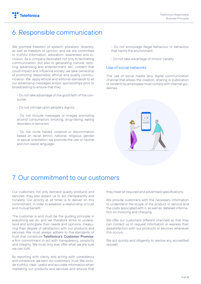### 6. Responsible communication

We promote freedom of speech, pluralism, diversity, as well as freedom of opinion, and we are committed to truthful information, education, awareness and inclusion. As a company dedicated not only to facilitating communication, but also to generating cultural, sporting, advertising and entertainment, etc., content that could impact and influence society, we take ownership of promoting responsible, ethical and quality communication. We apply ethical and editorial standards to all our advertising messages and/or sponsorships prior to broadcasting to ensure that they:

- Do not take advantage of the good faith of the consumer.

- Do not infringe upon people's dignity.

- Do not include messages or images promoting alcohol consumption, smoking, drug-taking, eating disorders or terrorism.

- Do not incite hatred, violence or discrimination based on racial, ethnic, national, religious, gender or sexual orientation; we promote the use of neutral and non-sexist language.

- Do not encourage illegal behaviour or behaviour that harms the environment.
- Do not take advantage of minors' naivety.

#### Use of social networks

The use of social media (any digital communication channel that allows the creation, sharing or publication of content) by employees must comply with internal guidelines.



### 7. Our commitment to our customers

Our customers not only demand quality products and services, they also expect us to act transparently and honestly. Our priority at all times is to deliver on this commitment, in order to establish a relationship of trust and mutual benefit.

The customer is and must be the guiding principle in everything we do, and we therefore strive to understand and anticipate their needs and opinions, measuring their degree of satisfaction with our products and services. We must always adhere to the standards of trust that constitute **Telefónica's Customer Promise**: a firm commitment to act with transparency, simplicity and integrity. We must only ever offer what we are sure we can fulfil.

By reporting with clarity and acting with consistency and coherence, we earn our customers' trust. We include truthful, clear, useful and accurate information when marketing our products and services and ensure that

they meet all required and advertised specifications.

We provide customers with the necessary information to understand the scope of the product or service and the costs associated with it, as well as detailed information on invoicing and charging.

We offer our customers different channels so that they can contact us to request information or express their dissatisfaction with our products or services whenever this occurs.

We act quickly and diligently to resolve any accredited request.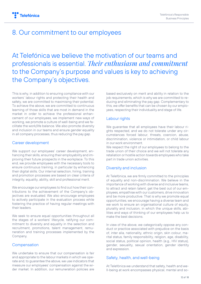### 8. Our commitment to our employees

At Telefónica we believe the motivation of our teams and professionals is essential. *Their enthusiasm and commitment*  to the Company's purpose and values is key to achieving the Company's objectives.

This is why, in addition to ensuring compliance with our workers' labour rights and protecting their health and safety, we are committed to maximising their potential. To achieve the above, we are committed to continuous learning of those skills that are most in demand in the market in order to achieve the professional enhancement of our employees, we implement new ways of working, we promote a culture of well-being and we facilitate the work/life balance. We also promote diversity and inclusion in our teams and ensure gender equality in all company processes, thus reducing the pay gap.

### Career development

We support our employees' career development, enhancing their skills, ensuring their employability and improving their future prospects in the workplace. To this end, we provide employees with the necessary tools to ensure continuous training, in particular by enhancing their digital skills. Our internal selection, hiring, training and promotion processes are based on clear criteria of integrity, equality, ability, skill and professional merit.

We encourage our employees to find out how their contributions to the achievement of the Company's objectives are evaluated. We also encourage employees to actively participate in the evaluation process while fostering the practice of having regular meetings with their leaders.

We seek to ensure equal opportunities throughout all the stages of a workers' lifecycle, ratifying our commitment to diversity and equality in the selection and recruitment, promotions, talent management, remuneration and training processes implemented by the Company.

### **Compensation**

We undertake to ensure that our compensation is fair and appropriate to the labour markets in which we operate and, to guarantee the above, we use indicators that measure our employees' compensation against the wider market. In addition, our remuneration policies are

based exclusively on merit and ability in relation to the job requirements, which is why we are committed to reducing and eliminating the pay gap. Complementary to this, we offer benefits that can be chosen by our employees, respecting their individuality and stage of life.

### Labour rights

We guarantee that all employees have their labour rights respected, and we do not tolerate under any circumstances forced labour, threats, coercion, abuse, discrimination, violence or intimidation, or child labour in our work environment.

We respect the right of our employees to belong to the trade union of their choice and we will not tolerate any retaliation or hostile action towards employees who take part in trade union activities.

### Diversity and inclusion

At Telefónica, we are firmly committed to the principles of equality and non-discrimination. We believe in the importance of working with diverse and inclusive teams, to attract and retain talent, get the best out of our employees, empathise with our customers, drive innovation and be more productive. That is why we promote equal opportunities, we encourage having a diverse team and we work to ensure an organisational culture of equity, plurality and inclusion, in which the unique skills, abilities and ways of thinking of our employees help us to make the best decisions.

In view of the above, we categorically oppose any conduct or practice associated with prejudice on the basis of, inter alia, nationality, ethnic origin, skin colour, marital status, family responsibility, religion, age, disability, social status, political opinion, health (e.g., HIV status), gender, sexuality, sexual orientation, gender identity and expression.

### Safety, health, and well-being

At Telefónica we understand that safety, health and well-being at work encompasses physical, mental and so-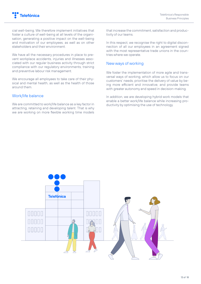

cial well-being. We therefore implement initiatives that foster a culture of well-being at all levels of the organisation, generating a positive impact on the well-being and motivation of our employees, as well as on other stakeholders and their environment.

We have all the necessary procedures in place to prevent workplace accidents, injuries and illnesses associated with our regular business activity through strict compliance with our regulatory environments, training and preventive labour risk management.

We encourage all employees to take care of their physical and mental health, as well as the health of those around them.

#### Work/life balance

We are committed to work/life balance as a key factor in attracting, retaining and developing talent. That is why we are working on more flexible working time models

that increase the commitment, satisfaction and productivity of our teams.

In this respect, we recognise the right to digital disconnection of all our employees in an agreement signed with the most representative trade unions in the countries where we operate.

#### New ways of working

We foster the implementation of more agile and transversal ways of working, which allow us to focus on our customers' needs, prioritise the delivery of value by being more efficient and innovative, and provide teams with greater autonomy and speed in decision-making.

In addition, we are developing hybrid work models that enable a better work/life balance while increasing productivity by optimising the use of technology.

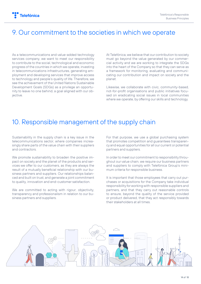### 9. Our commitment to the societies in which we operate

As a telecommunications and value-added technology services company, we want to meet our responsibility to contribute to the social, technological and economic progress of the countries in which we operate, investing in telecommunications infrastructures, generating employment and developing services that improve access to technology and people's quality of life. Therefore, we see the achievement of the United Nations Sustainable Development Goals (SDGs) as a privilege an opportunity to leave no one behind, a goal aligned with our objective.

At Telefónica, we believe that our contribution to society must go beyond the value generated by our commercial activity and we are working to integrate the SDGs into the heart of the Company so that they can serve as a framework for monitoring, evaluating and communicating our contribution and impact on society and the planet.

Likewise, we collaborate with civic, community-based, not-for-profit organisations and public initiatives focused on eradicating social issues in local communities where we operate, by offering our skills and technology.

### 10. Responsible management of the supply chain

Sustainability in the supply chain is a key issue in the telecommunications sector, where companies increasingly share parts of the value chain with their suppliers and contractors.

We promote sustainability to broaden the positive impact on society and the planet of the products and services we offer to our customers, as they are always the result of a mutually beneficial relationship with our business partners and suppliers. Our relationships balanced and built on trust, and generate a joint commitment to quality, innovation and end-customer satisfaction.

We are committed to acting with rigour, objectivity, transparency and professionalism in relation to our business partners and suppliers.

For that purpose, we use a global purchasing system that promotes competition and guarantees transparency and equal opportunities for all our current or potential partners and suppliers.

In order to meet our commitment to responsibility throughout our value chain, we require our business partners and suppliers to comply with Telefónica Group's minimum criteria for responsible business.

It is important that those employees that carry out purchases or acquisitions for the Company take individual responsibility for working with responsible suppliers and partners, and that they carry out reasonable controls to ensure, beyond the quality of the service provided or product delivered, that they act responsibly towards their stakeholders at all times.

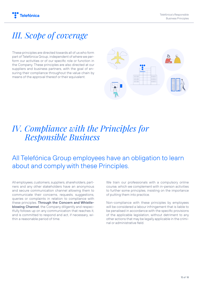

# *III. Scope of coverage*

These principles are directed towards all of us who form part of Telefónica Group, independent of where we perform our activities or of our specific role or function in the Company. These principles are also directed at our suppliers and business partners, with the goal of ensuring their compliance throughout the value chain by means of the approval thereof or their equivalent.



## *IV. Compliance with the Principles for Responsible Business*

### All Telefónica Group employees have an obligation to learn about and comply with these Principles.

All employees, customers, suppliers, shareholders, partners and any other stakeholders have an anonymous and secure communication channel allowing them to communicate their concerns, requests, suggestions, queries or complaints in relation to compliance with these principles. **Through the Concern and Whistleblowing Channel**, the Company diligently and respectfully follows up on any communication that reaches it, and is committed to respond and act, if necessary, within a reasonable period of time.

We train our professionals with a compulsory online course, which we complement with in-person activities to further some principles, insisting on the importance of putting them into practice.

Non-compliance with these principles by employees will be considered a labour infringement that is liable to be penalised in accordance with the specific provisions of the applicable legislation, without detriment to any other actions that may be legally applicable in the criminal or administrative field.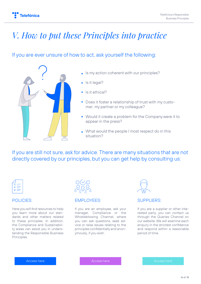# *V. How to put these Principles into practice*

### If you are ever unsure of how to act, ask yourself the following:



- Is my action coherent with our principles?
- Is it legal?
- Is it ethical?
- Does it foster a relationship of trust with my customer, my partner or my colleague?
- Would it create a problem for the Company were it to appear in the press?
- . What would the people I most respect do in this situation?

If you are still not sure, ask for advice. There are many situations that are not directly covered by our principles, but you can get help by consulting us:



### POLICIES:

Here you will find resources to help you learn more about our standards and other matters related to these principles. In addition, the Compliance and Sustainability areas can assist you in understanding the Responsible Business Principles.



### EMPLOYEES:

If you are an employee, ask your manager, Compliance or the Whistleblowing Channel, where you can ask questions, seek advice or raise issues relating to the principles confidentially and anonymously, if you wish.



### SUPPLIERS:

If you are a supplier or other interested party, you can contact us through the Queries Channel on our website. We will examine each enquiry in the strictest confidence and respond within a reasonable period of time.